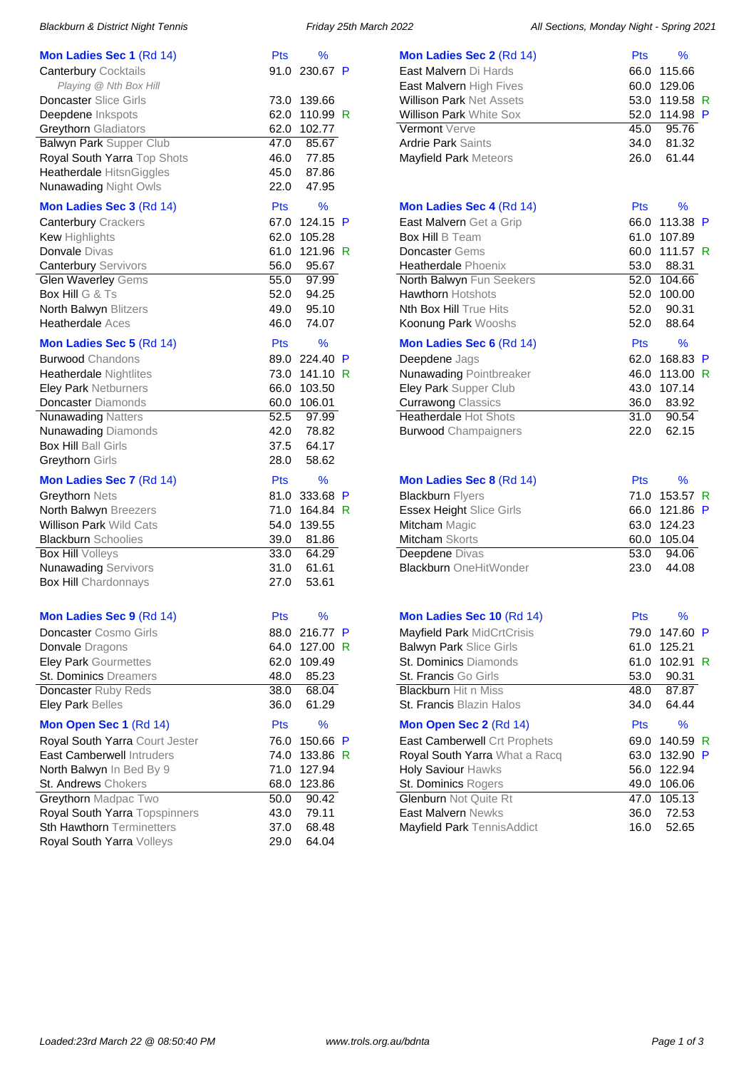| <b>Mon Ladies Sec 1 (Rd 14)</b>  | <b>Pts</b> | %             |   |
|----------------------------------|------------|---------------|---|
| <b>Canterbury Cocktails</b>      |            | 91.0 230.67 P |   |
| Playing @ Nth Box Hill           |            |               |   |
| <b>Doncaster Slice Girls</b>     | 73.0       | 139.66        |   |
| Deepdene Inkspots                | 62.0       | 110.99 R      |   |
| <b>Greythorn Gladiators</b>      |            | 62.0 102.77   |   |
| Balwyn Park Supper Club          | 47.0       | 85.67         |   |
| Royal South Yarra Top Shots      |            | 46.0 77.85    |   |
| Heatherdale HitsnGiggles         |            | 45.0 87.86    |   |
| <b>Nunawading Night Owls</b>     |            | 22.0 47.95    |   |
|                                  |            |               |   |
| Mon Ladies Sec 3 (Rd 14)         | Pts        | %             |   |
| <b>Canterbury Crackers</b>       | 67.0       | 124.15 P      |   |
| <b>Kew</b> Highlights            | 62.0       | 105.28        |   |
| Donvale Divas                    | 61.0       | 121.96 R      |   |
| <b>Canterbury Servivors</b>      |            | 56.0 95.67    |   |
| Glen Waverley Gems               |            | 55.0 97.99    |   |
| <b>Box Hill G &amp; Ts</b>       | 52.0       | 94.25         |   |
| North Balwyn Blitzers            |            | 49.0 95.10    |   |
| <b>Heatherdale Aces</b>          |            | 46.0 74.07    |   |
| Mon Ladies Sec 5 (Rd 14)         | Pts        | %             |   |
| <b>Burwood Chandons</b>          |            | 89.0 224.40   | P |
| <b>Heatherdale Nightlites</b>    |            | 73.0 141.10 R |   |
| <b>Eley Park Netburners</b>      | 66.0       | 103.50        |   |
| Doncaster Diamonds               |            | 60.0 106.01   |   |
| <b>Nunawading Natters</b>        |            | 52.5 97.99    |   |
| <b>Nunawading Diamonds</b>       | 42.0       | 78.82         |   |
| <b>Box Hill Ball Girls</b>       |            | 37.5 64.17    |   |
| Greythorn Girls                  | 28.0       | 58.62         |   |
|                                  |            | $\frac{9}{6}$ |   |
| Mon Ladies Sec 7 (Rd 14)         | Pts        |               |   |
| Greythorn Nets                   | 81.0       | 333.68        | P |
| North Balwyn Breezers            | 71.0       | 164.84 R      |   |
| <b>Willison Park Wild Cats</b>   | 54.0       | 139.55        |   |
| <b>Blackburn Schoolies</b>       |            | 39.0 81.86    |   |
| <b>Box Hill Volleys</b>          | 33.0       | 64.29         |   |
| <b>Nunawading Servivors</b>      | 31.0       | 61.61         |   |
| <b>Box Hill Chardonnays</b>      | 27.0       | 53.61         |   |
|                                  |            |               |   |
| Mon Ladies Sec 9 (Rd 14)         | Pts        | %             |   |
| Doncaster Cosmo Girls            | 88.0       | 216.77        | P |
| <b>Donvale</b> Dragons           | 64.0       | 127.00        | R |
| <b>Eley Park Gourmettes</b>      | 62.0       | 109.49        |   |
| <b>St. Dominics Dreamers</b>     | 48.0       | 85.23         |   |
| Doncaster Ruby Reds              | 38.0       | 68.04         |   |
| Eley Park Belles                 | 36.0       | 61.29         |   |
| Mon Open Sec 1 (Rd 14)           | <b>Pts</b> | %             |   |
| Royal South Yarra Court Jester   | 76.0       | 150.66        | P |
| <b>East Camberwell Intruders</b> | 74.0       | 133.86        | R |
| North Balwyn In Bed By 9         | 71.0       | 127.94        |   |
| St. Andrews Chokers              | 68.0       | 123.86        |   |
| Greythorn Madpac Two             | 50.0       | 90.42         |   |
| Royal South Yarra Topspinners    | 43.0       | 79.11         |   |
| Sth Hawthorn Terminetters        | 37.0       | 68.48         |   |
| Royal South Yarra Volleys        | 29.0       | 64.04         |   |
|                                  |            |               |   |

Blackburn & District Night Tennis **Friday 25th March 2022** All Sections, Monday Night - Spring 2021

| Mon Ladies Sec 2 (Rd 14)                                                                                | Pts                                 | %                                 |   |
|---------------------------------------------------------------------------------------------------------|-------------------------------------|-----------------------------------|---|
| East Malvern Di Hards                                                                                   | 66.0                                | 115.66                            |   |
| East Malvern High Fives                                                                                 | 60.0                                | 129.06                            |   |
| <b>Willison Park Net Assets</b>                                                                         | 53.0                                | 119.58                            | R |
| Willison Park White Sox                                                                                 | 52.0                                | 114.98 P                          |   |
| Vermont Verve                                                                                           | 45.0                                | 95.76                             |   |
| <b>Ardrie Park Saints</b>                                                                               | 34.0                                | 81.32                             |   |
| Mayfield Park Meteors                                                                                   | 26.0                                | 61.44                             |   |
|                                                                                                         |                                     |                                   |   |
|                                                                                                         |                                     |                                   |   |
| Mon Ladies Sec 4 (Rd 14)                                                                                | <b>Pts</b>                          | ℅                                 |   |
| East Malvern Get a Grip                                                                                 | 66.0                                | 113.38 P                          |   |
| <b>Box Hill B Team</b>                                                                                  | 61.0                                | 107.89                            |   |
| <b>Doncaster</b> Gems                                                                                   | 60.0                                | 111.57 R                          |   |
| Heatherdale Phoenix                                                                                     | 53.0                                | 88.31                             |   |
| North Balwyn Fun Seekers                                                                                | 52.0                                | 104.66                            |   |
| <b>Hawthorn Hotshots</b>                                                                                | 52.0                                | 100.00                            |   |
| Nth Box Hill True Hits                                                                                  | 52.0                                | 90.31                             |   |
| Koonung Park Wooshs                                                                                     | 52.0                                | 88.64                             |   |
| Mon Ladies Sec 6 (Rd 14)                                                                                | Pts                                 | %                                 |   |
| Deepdene Jags                                                                                           | 62.0                                | 168.83                            | P |
| <b>Nunawading Pointbreaker</b>                                                                          | 46.0                                | 113.00 R                          |   |
| Eley Park Supper Club                                                                                   | 43.0                                | 107.14                            |   |
| <b>Currawong Classics</b>                                                                               | 36.0                                | 83.92                             |   |
| Heatherdale Hot Shots                                                                                   | 31.0                                | 90.54                             |   |
| <b>Burwood Champaigners</b>                                                                             | 22.0                                | 62.15                             |   |
|                                                                                                         |                                     |                                   |   |
| Mon Ladies Sec 8 (Rd 14)<br><b>Blackburn Flyers</b><br><b>Essex Height Slice Girls</b><br>Mitcham Magic | Pts<br>71.0<br>66.0<br>63.0<br>60.0 | %<br>153.57<br>121.86 P<br>124.23 | R |
| Mitcham Skorts                                                                                          |                                     | 105.04                            |   |
| Deepdene Divas<br><b>Blackburn OneHitWonder</b>                                                         | 53.0<br>23.0                        | 94.06<br>44.08                    |   |
|                                                                                                         |                                     |                                   |   |
| Mon Ladies Sec 10 (Rd 14)                                                                               | Pts                                 | %                                 |   |
| Mayfield Park MidCrtCrisis                                                                              | 79.0                                | 147.60 P                          |   |
| <b>Balwyn Park Slice Girls</b>                                                                          | 61.0                                | 125.21                            |   |
| St. Dominics Diamonds                                                                                   | 61.0                                | 102.91                            | R |
| St. Francis Go Girls                                                                                    | 53.0                                | 90.31                             |   |
| <b>Blackburn Hit n Miss</b>                                                                             | 48.0                                | 87.87                             |   |
| St. Francis Blazin Halos                                                                                | 34.0                                | 64.44                             |   |
| Mon Open Sec 2 (Rd 14)                                                                                  | Pts                                 | ℅                                 |   |
| East Camberwell Crt Prophets                                                                            | 69.0                                | 140.59                            | R |
| Royal South Yarra What a Racq                                                                           | 63.0                                | 132.90                            | P |
| Holy Saviour Hawks                                                                                      | 56.0                                | 122.94                            |   |
| St. Dominics Rogers                                                                                     | 49.0                                | 106.06                            |   |
| Glenburn Not Quite Rt                                                                                   | 47.0                                | 105.13                            |   |
| East Malvern Newks<br>Mayfield Park TennisAddict                                                        | 36.0                                | 72.53<br>52.65                    |   |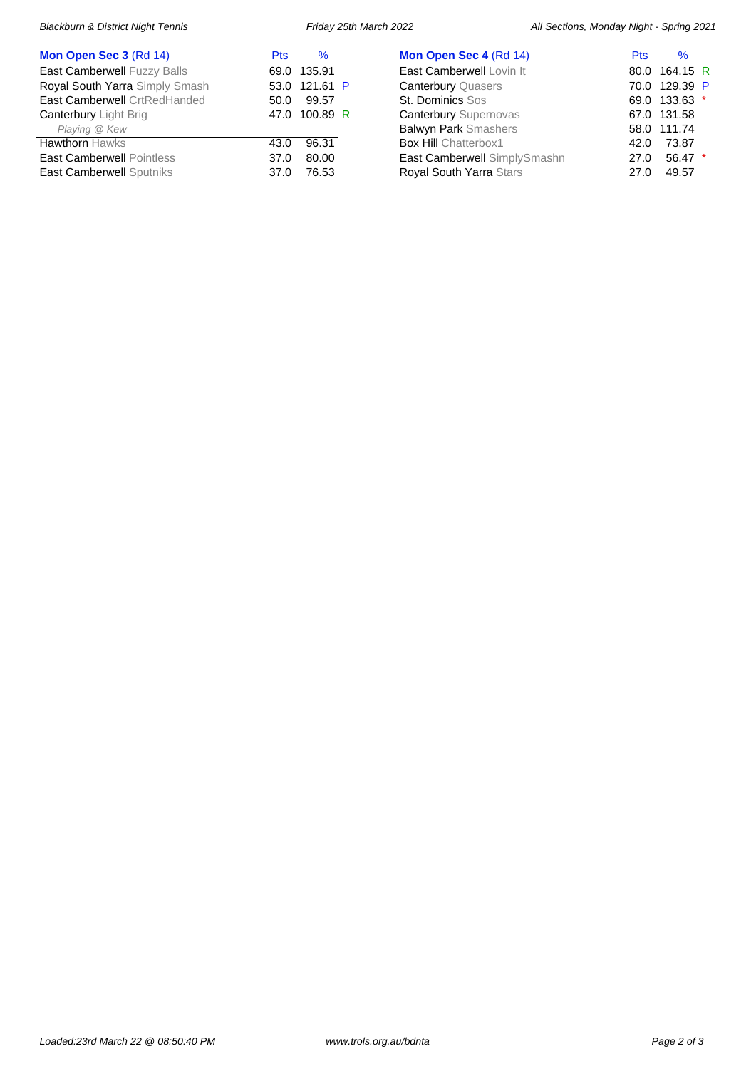| Mon Open Sec 3 (Rd 14)             | <b>Pts</b> | $\%$          |
|------------------------------------|------------|---------------|
| <b>East Camberwell Fuzzy Balls</b> |            | 69.0 135.91   |
| Royal South Yarra Simply Smash     |            | 53.0 121.61 P |
| East Camberwell CrtRedHanded       | 50.0       | 99.57         |
| <b>Canterbury Light Brig</b>       |            | 47.0 100.89 R |
| Playing @ Kew                      |            |               |
| <b>Hawthorn Hawks</b>              | 43.0       | 96.31         |
| <b>East Camberwell Pointless</b>   | 37.0       | 80.00         |
| <b>East Camberwell Sputniks</b>    | 37.0       | 76.53         |

| Mon Open Sec 4 (Rd 14)         | <b>Pts</b> | $\%$          |  |
|--------------------------------|------------|---------------|--|
| East Camberwell Lovin It       |            | 80.0 164.15 R |  |
| <b>Canterbury Quasers</b>      |            | 70.0 129.39 P |  |
| <b>St. Dominics Sos</b>        |            | 69.0 133.63 * |  |
| <b>Canterbury Supernovas</b>   |            | 67.0 131.58   |  |
| <b>Balwyn Park Smashers</b>    |            | 58.0 111.74   |  |
| <b>Box Hill Chatterbox1</b>    | 42.0       | 73.87         |  |
| East Camberwell SimplySmashn   | 27.0       | $56.47$ *     |  |
| <b>Royal South Yarra Stars</b> | 27 O       | 49.57         |  |